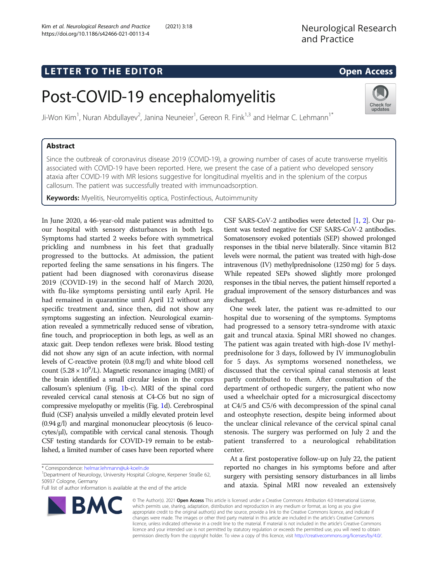## L E T T ER TOR OPEN ACCESS TO THE EXPLORATION OF THE EXPLORATION OF THE EXPLORATION OF THE EXPLORATION OF THE <br>The exploration of the exploration of the exploration of the exploration of the exploration of the exploration

# Post-COVID-19 encephalomyelitis

Ji-Won Kim<sup>1</sup>, Nuran Abdullayev<sup>2</sup>, Janina Neuneier<sup>1</sup>, Gereon R. Fink<sup>1,3</sup> and Helmar C. Lehmann<sup>1\*</sup>

Since the outbreak of coronavirus disease 2019 (COVID-19), a growing number of cases of acute transverse myelitis associated with COVID-19 have been reported. Here, we present the case of a patient who developed sensory ataxia after COVID-19 with MR lesions suggestive for longitudinal myelitis and in the splenium of the corpus callosum. The patient was successfully treated with immunoadsorption.

Keywords: Myelitis, Neuromyelitis optica, Postinfectious, Autoimmunity

In June 2020, a 46-year-old male patient was admitted to our hospital with sensory disturbances in both legs. Symptoms had started 2 weeks before with symmetrical prickling and numbness in his feet that gradually progressed to the buttocks. At admission, the patient reported feeling the same sensations in his fingers. The patient had been diagnosed with coronavirus disease 2019 (COVID-19) in the second half of March 2020, with flu-like symptoms persisting until early April. He had remained in quarantine until April 12 without any specific treatment and, since then, did not show any symptoms suggesting an infection. Neurological examination revealed a symmetrically reduced sense of vibration, fine touch, and proprioception in both legs, as well as an ataxic gait. Deep tendon reflexes were brisk. Blood testing did not show any sign of an acute infection, with normal levels of C-reactive protein (0.8 mg/l) and white blood cell count  $(5.28 \times 10^9$ /L). Magnetic resonance imaging (MRI) of the brain identified a small circular lesion in the corpus callosum's splenium (Fig. [1](#page-1-0)b-c). MRI of the spinal cord revealed cervical canal stenosis at C4-C6 but no sign of compressive myelopathy or myelitis (Fig. [1](#page-1-0)d). Cerebrospinal fluid (CSF) analysis unveiled a mildly elevated protein level (0.94 g/l) and marginal mononuclear pleocytosis (6 leucocytes/μl), compatible with cervical canal stenosis. Though CSF testing standards for COVID-19 remain to be established, a limited number of cases have been reported where

\* Correspondence: [helmar.lehmann@uk-koeln.de](mailto:helmar.lehmann@uk-koeln.de) <sup>1</sup>

**BMC** 

<sup>1</sup> Department of Neurology, University Hospital Cologne, Kerpener Straße 62, 50937 Cologne, Germany

Full list of author information is available at the end of the article

CSF SARS-CoV-2 antibodies were detected [\[1](#page-2-0), [2](#page-2-0)]. Our patient was tested negative for CSF SARS-CoV-2 antibodies. Somatosensory evoked potentials (SEP) showed prolonged responses in the tibial nerve bilaterally. Since vitamin B12 levels were normal, the patient was treated with high-dose intravenous (IV) methylprednisolone (1250 mg) for 5 days. While repeated SEPs showed slightly more prolonged responses in the tibial nerves, the patient himself reported a gradual improvement of the sensory disturbances and was discharged.

One week later, the patient was re-admitted to our hospital due to worsening of the symptoms. Symptoms had progressed to a sensory tetra-syndrome with ataxic gait and truncal ataxia. Spinal MRI showed no changes. The patient was again treated with high-dose IV methylprednisolone for 3 days, followed by IV immunoglobulin for 5 days. As symptoms worsened nonetheless, we discussed that the cervical spinal canal stenosis at least partly contributed to them. After consultation of the department of orthopedic surgery, the patient who now used a wheelchair opted for a microsurgical discectomy at C4/5 and C5/6 with decompression of the spinal canal and osteophyte resection, despite being informed about the unclear clinical relevance of the cervical spinal canal stenosis. The surgery was performed on July 2 and the patient transferred to a neurological rehabilitation center.

At a first postoperative follow-up on July 22, the patient reported no changes in his symptoms before and after surgery with persisting sensory disturbances in all limbs and ataxia. Spinal MRI now revealed an extensively

© The Author(s). 2021 Open Access This article is licensed under a Creative Commons Attribution 4.0 International License, which permits use, sharing, adaptation, distribution and reproduction in any medium or format, as long as you give appropriate credit to the original author(s) and the source, provide a link to the Creative Commons licence, and indicate if changes were made. The images or other third party material in this article are included in the article's Creative Commons licence, unless indicated otherwise in a credit line to the material. If material is not included in the article's Creative Commons licence and your intended use is not permitted by statutory regulation or exceeds the permitted use, you will need to obtain permission directly from the copyright holder. To view a copy of this licence, visit [http://creativecommons.org/licenses/by/4.0/.](http://creativecommons.org/licenses/by/4.0/)



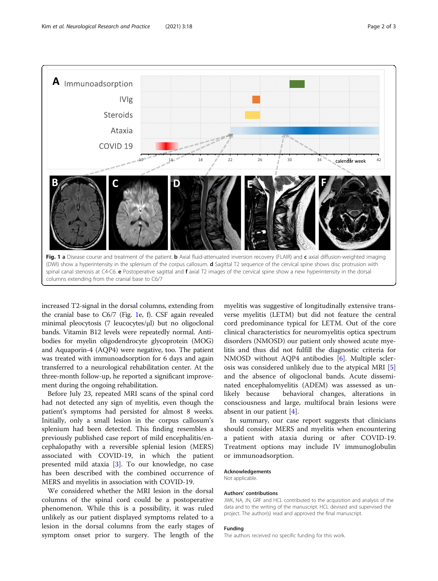<span id="page-1-0"></span>

increased T2-signal in the dorsal columns, extending from the cranial base to C6/7 (Fig. 1e, f). CSF again revealed minimal pleocytosis (7 leucocytes/μl) but no oligoclonal bands. Vitamin B12 levels were repeatedly normal. Antibodies for myelin oligodendrocyte glycoprotein (MOG) and Aquaporin-4 (AQP4) were negative, too. The patient was treated with immunoadsorption for 6 days and again transferred to a neurological rehabilitation center. At the three-month follow-up, he reported a significant improvement during the ongoing rehabilitation.

Before July 23, repeated MRI scans of the spinal cord had not detected any sign of myelitis, even though the patient's symptoms had persisted for almost 8 weeks. Initially, only a small lesion in the corpus callosum's splenium had been detected. This finding resembles a previously published case report of mild encephalitis/encephalopathy with a reversible splenial lesion (MERS) associated with COVID-19, in which the patient presented mild ataxia [[3\]](#page-2-0). To our knowledge, no case has been described with the combined occurrence of MERS and myelitis in association with COVID-19.

We considered whether the MRI lesion in the dorsal columns of the spinal cord could be a postoperative phenomenon. While this is a possibility, it was ruled unlikely as our patient displayed symptoms related to a lesion in the dorsal columns from the early stages of symptom onset prior to surgery. The length of the

myelitis was suggestive of longitudinally extensive transverse myelitis (LETM) but did not feature the central cord predominance typical for LETM. Out of the core clinical characteristics for neuromyelitis optica spectrum disorders (NMOSD) our patient only showed acute myelitis and thus did not fulfill the diagnostic criteria for NMOSD without AQP4 antibodies [[6](#page-2-0)]. Multiple sclerosis was considered unlikely due to the atypical MRI [\[5](#page-2-0)] and the absence of oligoclonal bands. Acute disseminated encephalomyelitis (ADEM) was assessed as unlikely because behavioral changes, alterations in consciousness and large, multifocal brain lesions were absent in our patient [\[4](#page-2-0)].

In summary, our case report suggests that clinicians should consider MERS and myelitis when encountering a patient with ataxia during or after COVID-19. Treatment options may include IV immunoglobulin or immunoadsorption.

#### Acknowledgements

Not applicable.

#### Authors' contributions

JWK, NA, JN, GRF and HCL contributed to the acquisition and analysis of the data and to the writing of the manuscript. HCL devised and supervised the project. The author(s) read and approved the final manuscript.

## Funding

The authors received no specific funding for this work.